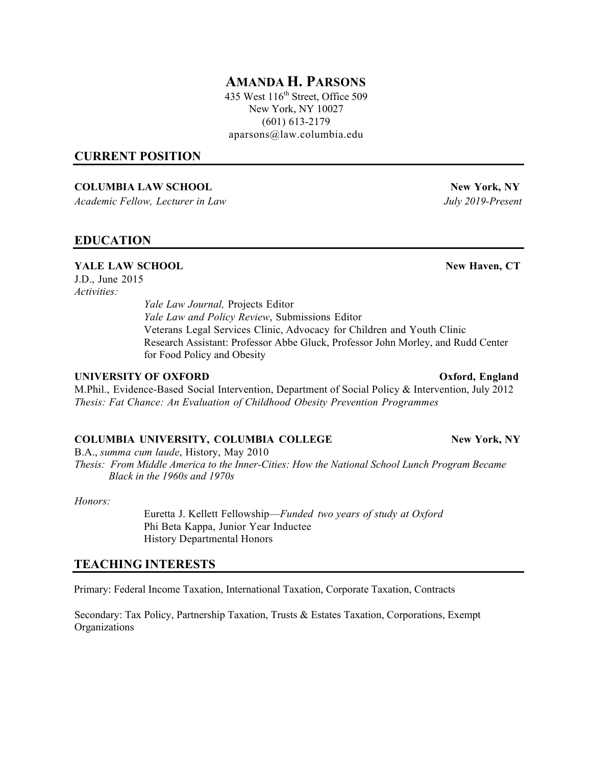# **AMANDA H. PARSONS**

435 West  $116<sup>th</sup>$  Street, Office 509 New York, NY 10027 (601) 613-2179 aparsons@law.columbia.edu

#### **CURRENT POSITION**

#### **COLUMBIA LAW SCHOOL New York, NY**

*Academic Fellow, Lecturer in Law July 2019-Present*

## **EDUCATION**

## **YALE** LAW **SCHOOL** New Haven, CT

J.D., June 2015 *Activities:*

> *Yale Law Journal,* Projects Editor *Yale Law and Policy Review*, Submissions Editor Veterans Legal Services Clinic, Advocacy for Children and Youth Clinic Research Assistant: Professor Abbe Gluck, Professor John Morley, and Rudd Center for Food Policy and Obesity

#### **UNIVERSITY OF OXFORD Oxford, England**

M.Phil., Evidence-Based Social Intervention, Department of Social Policy & Intervention, July 2012 *Thesis: Fat Chance: An Evaluation of Childhood Obesity Prevention Programmes*

#### **COLUMBIA UNIVERSITY, COLUMBIA COLLEGE New York, NY**

B.A., *summa cum laude*, History, May 2010

*Thesis: From Middle America to the Inner-Cities: How the National School Lunch Program Became Black in the 1960s and 1970s*

*Honors:*

Euretta J. Kellett Fellowship—*Funded two years of study at Oxford* Phi Beta Kappa, Junior Year Inductee History Departmental Honors

## **TEACHING INTERESTS**

Primary: Federal Income Taxation, International Taxation, Corporate Taxation, Contracts

Secondary: Tax Policy, Partnership Taxation, Trusts & Estates Taxation, Corporations, Exempt Organizations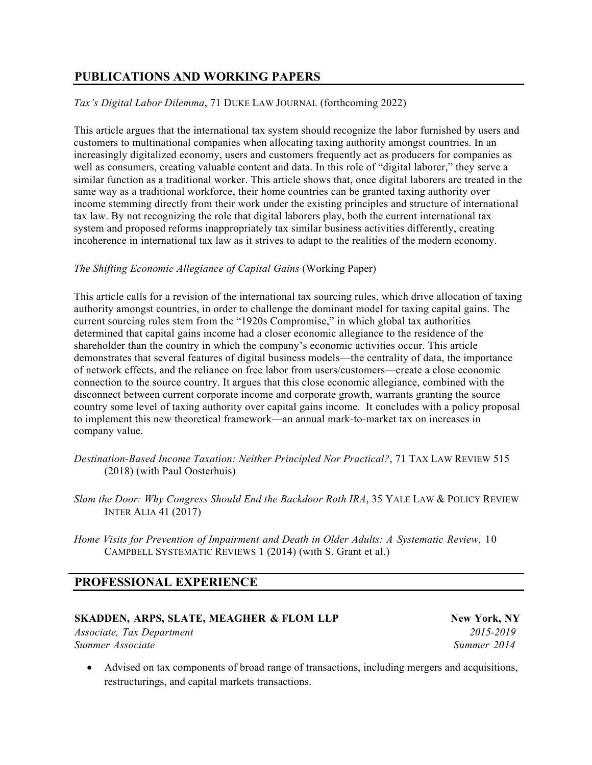# **PUBLICATIONS AND WORKING PAPERS**

*Tax's Digital Labor Dilemma*, 71 DUKE LAW JOURNAL (forthcoming 2022)

This article argues that the international tax system should recognize the labor furnished by users and customers to multinational companies when allocating taxing authority amongst countries. In an increasingly digitalized economy, users and customers frequently act as producers for companies as well as consumers, creating valuable content and data. In this role of "digital laborer," they serve a similar function as a traditional worker. This article shows that, once digital laborers are treated in the same way as a traditional workforce, their home countries can be granted taxing authority over income stemming directly from their work under the existing principles and structure of international tax law. By not recognizing the role that digital laborers play, both the current international tax system and proposed reforms inappropriately tax similar business activities differently, creating incoherence in international tax law as it strives to adapt to the realities of the modern economy.

## *The Shifting Economic Allegiance of Capital Gains* (Working Paper)

This article calls for a revision of the international tax sourcing rules, which drive allocation of taxing authority amongst countries, in order to challenge the dominant model for taxing capital gains. The current sourcing rules stem from the "1920s Compromise," in which global tax authorities determined that capital gains income had a closer economic allegiance to the residence of the shareholder than the country in which the company's economic activities occur. This article demonstrates that several features of digital business models—the centrality of data, the importance of network effects, and the reliance on free labor from users/customers—create a close economic connection to the source country. It argues that this close economic allegiance, combined with the disconnect between current corporate income and corporate growth, warrants granting the source country some level of taxing authority over capital gains income. It concludes with a policy proposal to implement this new theoretical framework—an annual mark-to-market tax on increases in company value.

- *Destination-Based Income Taxation: Neither Principled Nor Practical?*, 71 TAX LAW REVIEW 515 (2018) (with Paul Oosterhuis)
- *Slam the Door: Why Congress Should End the Backdoor Roth IRA*, 35 YALE LAW & POLICY REVIEW INTER ALIA 41 (2017)
- *Home Visits for Prevention of Impairment and Death in Older Adults: A Systematic Review*, 10 CAMPBELL SYSTEMATIC REVIEWS 1 (2014) (with S. Grant et al.)

# **PROFESSIONAL EXPERIENCE**

#### **SKADDEN, ARPS, SLATE, MEAGHER & FLOM LLP New York, NY**

*Associate, Tax Department 2015-2019 Summer Associate* Summerr 2014

• Advised on tax components of broad range of transactions, including mergers and acquisitions, restructurings, and capital markets transactions.